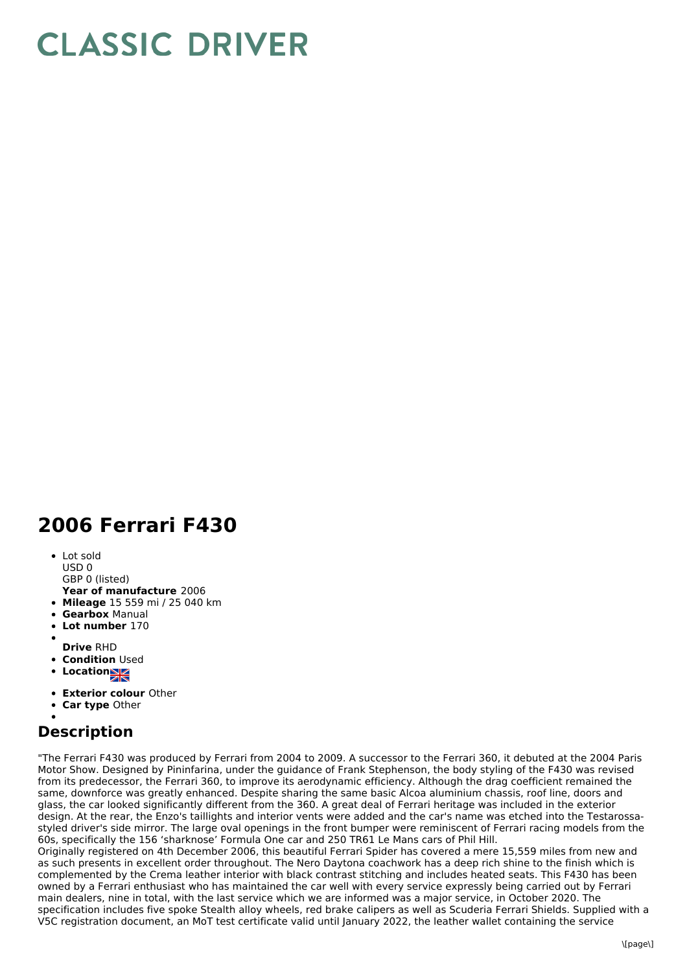## **CLASSIC DRIVER**

## **2006 Ferrari F430**

- Lot sold USD 0 GBP 0 (listed)
- **Year of manufacture** 2006
- **Mileage** 15 559 mi / 25 040 km
- **Gearbox** Manual
- **Lot number** 170
- 
- **Drive** RHD
- **Condition Used**
- **Location**
- 
- **Exterior colour** Other
- **Car type** Other

## **Description**

"The Ferrari F430 was produced by Ferrari from 2004 to 2009. A successor to the Ferrari 360, it debuted at the 2004 Paris Motor Show. Designed by Pininfarina, under the guidance of Frank Stephenson, the body styling of the F430 was revised from its predecessor, the Ferrari 360, to improve its aerodynamic efficiency. Although the drag coefficient remained the same, downforce was greatly enhanced. Despite sharing the same basic Alcoa aluminium chassis, roof line, doors and glass, the car looked significantly different from the 360. A great deal of Ferrari heritage was included in the exterior design. At the rear, the Enzo's taillights and interior vents were added and the car's name was etched into the Testarossastyled driver's side mirror. The large oval openings in the front bumper were reminiscent of Ferrari racing models from the 60s, specifically the 156 'sharknose' Formula One car and 250 TR61 Le Mans cars of Phil Hill.

Originally registered on 4th December 2006, this beautiful Ferrari Spider has covered a mere 15,559 miles from new and as such presents in excellent order throughout. The Nero Daytona coachwork has a deep rich shine to the finish which is complemented by the Crema leather interior with black contrast stitching and includes heated seats. This F430 has been owned by a Ferrari enthusiast who has maintained the car well with every service expressly being carried out by Ferrari main dealers, nine in total, with the last service which we are informed was a major service, in October 2020. The specification includes five spoke Stealth alloy wheels, red brake calipers as well as Scuderia Ferrari Shields. Supplied with a V5C registration document, an MoT test certificate valid until January 2022, the leather wallet containing the service